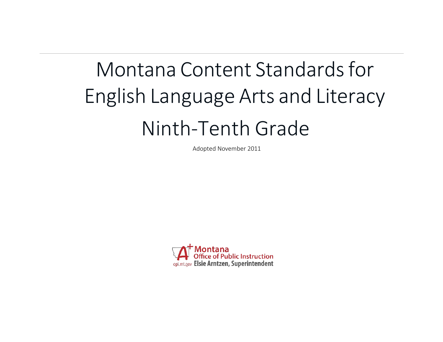# Montana Content Standards for English Language Arts and Literacy Ninth-Tenth Grade

Adopted November 2011

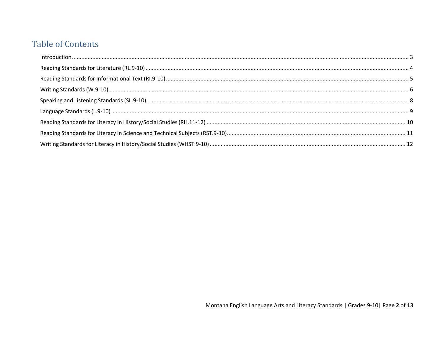# **Table of Contents**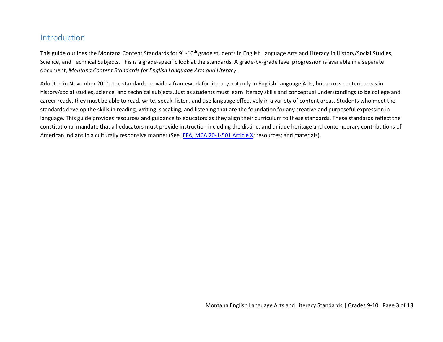## <span id="page-2-0"></span>Introduction

This guide outlines the Montana Content Standards for  $9<sup>th</sup>$ -10<sup>th</sup> grade students in English Language Arts and Literacy in History/Social Studies, Science, and Technical Subjects. This is a grade-specific look at the standards. A grade-by-grade level progression is available in a separate document, *Montana Content Standards for English Language Arts and Literacy*.

Adopted in November 2011, the standards provide a framework for literacy not only in English Language Arts, but across content areas in history/social studies, science, and technical subjects. Just as students must learn literacy skills and conceptual understandings to be college and career ready, they must be able to read, write, speak, listen, and use language effectively in a variety of content areas. Students who meet the standards develop the skills in reading, writing, speaking, and listening that are the foundation for any creative and purposeful expression in language. This guide provides resources and guidance to educators as they align their curriculum to these standards. These standards reflect the constitutional mandate that all educators must provide instruction including the distinct and unique heritage and contemporary contributions of American Indians in a culturally responsive manner (See IEFA; [MCA 20-1-501 Article X;](http://www.opi.mt.gov/PDF/IndianEd/Resources/ArticleX_IEFA.pdf) resources; and materials).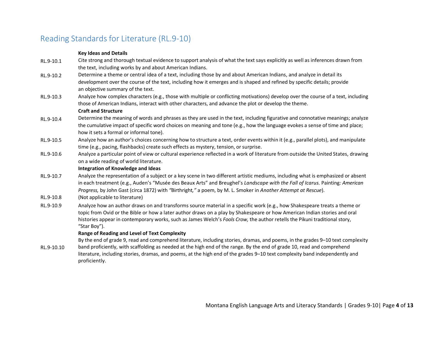## <span id="page-3-0"></span>Reading Standards for Literature (RL.9-10)

### **Key Ideas and Details**

- RL.9-10.1 Cite strong and thorough textual evidence to support analysis of what the text says explicitly as well as inferences drawn from the text, including works by and about American Indians.
- RL.9-10.2 Determine a theme or central idea of a text, including those by and about American Indians, and analyze in detail its development over the course of the text, including how it emerges and is shaped and refined by specific details; provide an objective summary of the text.
- RL.9-10.3 Analyze how complex characters (e.g., those with multiple or conflicting motivations) develop over the course of a text, including those of American Indians, interact with other characters, and advance the plot or develop the theme.

#### **Craft and Structure**

- RL.9-10.4 Determine the meaning of words and phrases as they are used in the text, including figurative and connotative meanings; analyze the cumulative impact of specific word choices on meaning and tone (e.g., how the language evokes a sense of time and place; how it sets a formal or informal tone).
- RL.9-10.5 Analyze how an author's choices concerning how to structure a text, order events within it (e.g., parallel plots), and manipulate time (e.g., pacing, flashbacks) create such effects as mystery, tension, or surprise.
- RL.9-10.6 Analyze a particular point of view or cultural experience reflected in a work of literature from outside the United States, drawing on a wide reading of world literature.

## **Integration of Knowledge and Ideas**

- RL.9-10.7 Analyze the representation of a subject or a key scene in two different artistic mediums, including what is emphasized or absent in each treatment (e.g., Auden's "Musée des Beaux Arts" and Breughel's *Landscape with the Fall of Icarus.* Painting*: American Progress,* by John Gast (circa 1872) with *"*Birthright*,"* a poem, by M. L. Smoker in *Another Attempt at Rescue*).
- RL.9-10.8 (Not applicable to literature)
- RL.9-10.9 Analyze how an author draws on and transforms source material in a specific work (e.g., how Shakespeare treats a theme or topic from Ovid or the Bible or how a later author draws on a play by Shakespeare or how American Indian stories and oral histories appear in contemporary works, such as James Welch's *Fools Crow,* the author retells the Pikuni traditional story, "Star Boy").

## **Range of Reading and Level of Text Complexity**

RL.9-10.10 By the end of grade 9, read and comprehend literature, including stories, dramas, and poems, in the grades 9–10 text complexity band proficiently, with scaffolding as needed at the high end of the range. By the end of grade 10, read and comprehend literature, including stories, dramas, and poems, at the high end of the grades 9–10 text complexity band independently and proficiently.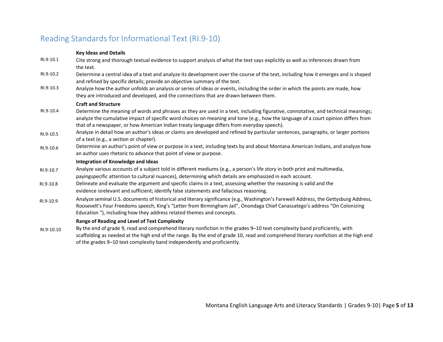## <span id="page-4-0"></span>Reading Standards for Informational Text (RI.9-10)

## **Key Ideas and Details**

- RI.9-10.1 Cite strong and thorough textual evidence to support analysis of what the text says explicitly as well as inferences drawn from the text.
- RI.9-10.2 Determine a central idea of a text and analyze its development over the course of the text, including how it emerges and is shaped and refined by specific details; provide an objective summary of the text.
- RI.9-10.3 Analyze how the author unfolds an analysis or series of ideas or events, including the order in which the points are made, how they are introduced and developed, and the connections that are drawn between them.

#### **Craft and Structure**

- RI.9-10.4 Determine the meaning of words and phrases as they are used in a text, including figurative, connotative, and technical meanings; analyze the cumulative impact of specific word choices on meaning and tone (e.g., how the language of a court opinion differs from that of a newspaper, or how American Indian treaty language differs from everyday speech).
- RI.9-10.5 Analyze in detail how an author's ideas or claims are developed and refined by particular sentences, paragraphs, or larger portions of a text (e.g., a section or chapter).
- RI.9-10.6 Determine an author's point of view or purpose in a text, including texts by and about Montana American Indians, and analyze how an author uses rhetoric to advance that point of view or purpose.

#### **Integration of Knowledge and Ideas**

- RI.9-10.7 Analyze various accounts of a subject told in different mediums (e.g., a person's life story in both print and multimedia, payingspecific attention to cultural nuances), determining which details are emphasized in each account.
- RI.9-10.8 Delineate and evaluate the argument and specific claims in a text, assessing whether the reasoning is valid and the evidence isrelevant and sufficient; identify false statements and fallacious reasoning.
- RI.9-10.9 Analyze seminal U.S. documents of historical and literary significance (e.g., Washington's Farewell Address, the Gettysburg Address, Roosevelt's Four Freedoms speech, King's "Letter from Birmingham Jail", Onondaga Chief Canassatego's address "On Colonizing Education "), including how they address related themes and concepts.

### **Range of Reading and Level of Text Complexity**

RI.9-10.10 By the end of grade 9, read and comprehend literary nonfiction in the grades 9–10 text complexity band proficiently, with scaffolding as needed at the high end of the range. By the end of grade 10, read and comprehend literary nonfiction at the high end of the grades 9–10 text complexity band independently and proficiently.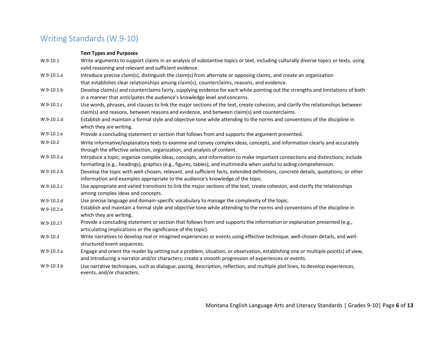# <span id="page-5-0"></span>Writing Standards (W.9-10)

## **Text Types and Purposes**

| $W.9-10.1$   | Write arguments to support claims in an analysis of substantive topics or text, including culturally diverse topics or texts, using<br>valid reasoning and relevant and sufficient evidence.                                                       |
|--------------|----------------------------------------------------------------------------------------------------------------------------------------------------------------------------------------------------------------------------------------------------|
| W.9-10.1.a   | Introduce precise claim(s), distinguish the claim(s) from alternate or opposing claims, and create an organization                                                                                                                                 |
|              | that establishes clear relationships among claim(s), counterclaims, reasons, and evidence.                                                                                                                                                         |
| $W.9-10.1.b$ | Develop claim(s) and counterclaims fairly, supplying evidence for each while pointing out the strengths and limitations of both                                                                                                                    |
|              | in a manner that anticipates the audience's knowledge level and concerns.                                                                                                                                                                          |
| W.9-10.1.c   | Use words, phrases, and clauses to link the major sections of the text, create cohesion, and clarify the relationships between                                                                                                                     |
|              | claim(s) and reasons, between reasons and evidence, and between claim(s) and counterclaims.                                                                                                                                                        |
| $W.9-10.1.d$ | Establish and maintain a formal style and objective tone while attending to the norms and conventions of the discipline in<br>which they are writing.                                                                                              |
| W.9-10.1.e   | Provide a concluding statement or section that follows from and supports the argument presented.                                                                                                                                                   |
| $W.9-10.2$   | Write informative/explanatory texts to examine and convey complex ideas, concepts, and information clearly and accurately                                                                                                                          |
|              | through the effective selection, organization, and analysis of content.                                                                                                                                                                            |
| W.9-10.2.a   | Introduce a topic; organize complex ideas, concepts, and information to make important connections and distinctions; include<br>formatting (e.g., headings), graphics (e.g., figures, tables), and multimedia when useful to aiding comprehension. |
| $W.9-10.2.b$ | Develop the topic with well-chosen, relevant, and sufficient facts, extended definitions, concrete details, quotations, or other                                                                                                                   |
|              | information and examples appropriate to the audience's knowledge of the topic.                                                                                                                                                                     |
| W.9-10.2.c   | Use appropriate and varied transitions to link the major sections of the text, create cohesion, and clarify the relationships                                                                                                                      |
|              | among complex ideas and concepts.                                                                                                                                                                                                                  |
| $W.9-10.2.d$ | Use precise language and domain-specific vocabulary to manage the complexity of the topic.                                                                                                                                                         |
| W.9-10.2.e   | Establish and maintain a formal style and objective tone while attending to the norms and conventions of the discipline in                                                                                                                         |
|              | which they are writing.                                                                                                                                                                                                                            |
| $W.9-10.2.f$ | Provide a concluding statement or section that follows from and supports the information or explanation presented (e.g.,                                                                                                                           |
|              | articulating implications or the significance of the topic).                                                                                                                                                                                       |
| $W.9-10.3$   | Write narratives to develop real or imagined experiences or events using effective technique, well-chosen details, and well-                                                                                                                       |
|              | structured event sequences.                                                                                                                                                                                                                        |
| W.9-10.3.a   | Engage and orient the reader by setting out a problem, situation, or observation, establishing one or multiple point(s) of view,                                                                                                                   |
|              | and introducing a narrator and/or characters; create a smooth progression of experiences or events.                                                                                                                                                |
| W.9-10.3.b   | Use narrative techniques, such as dialogue, pacing, description, reflection, and multiple plot lines, to develop experiences,<br>events, and/or characters.                                                                                        |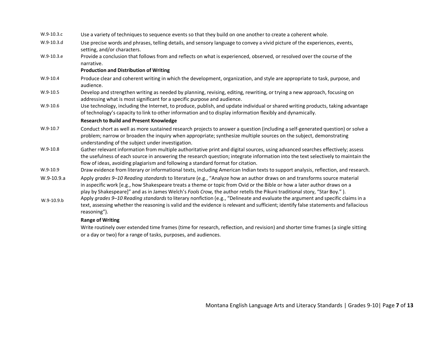| W.9-10.3.c   | Use a variety of techniques to sequence events so that they build on one another to create a coherent whole.                                                                                                                                                                                                                                                                    |
|--------------|---------------------------------------------------------------------------------------------------------------------------------------------------------------------------------------------------------------------------------------------------------------------------------------------------------------------------------------------------------------------------------|
| W.9-10.3.d   | Use precise words and phrases, telling details, and sensory language to convey a vivid picture of the experiences, events,<br>setting, and/or characters.                                                                                                                                                                                                                       |
| W.9-10.3.e   | Provide a conclusion that follows from and reflects on what is experienced, observed, or resolved over the course of the<br>narrative.                                                                                                                                                                                                                                          |
|              | <b>Production and Distribution of Writing</b>                                                                                                                                                                                                                                                                                                                                   |
| $W.9-10.4$   | Produce clear and coherent writing in which the development, organization, and style are appropriate to task, purpose, and<br>audience.                                                                                                                                                                                                                                         |
| $W.9-10.5$   | Develop and strengthen writing as needed by planning, revising, editing, rewriting, or trying a new approach, focusing on<br>addressing what is most significant for a specific purpose and audience.                                                                                                                                                                           |
| $W.9-10.6$   | Use technology, including the Internet, to produce, publish, and update individual or shared writing products, taking advantage<br>of technology's capacity to link to other information and to display information flexibly and dynamically.                                                                                                                                   |
|              | <b>Research to Build and Present Knowledge</b>                                                                                                                                                                                                                                                                                                                                  |
| W.9-10.7     | Conduct short as well as more sustained research projects to answer a question (including a self-generated question) or solve a<br>problem; narrow or broaden the inquiry when appropriate; synthesize multiple sources on the subject, demonstrating<br>understanding of the subject under investigation.                                                                      |
| $W.9-10.8$   | Gather relevant information from multiple authoritative print and digital sources, using advanced searches effectively; assess<br>the usefulness of each source in answering the research question; integrate information into the text selectively to maintain the<br>flow of ideas, avoiding plagiarism and following a standard format for citation.                         |
| $W.9-10.9$   | Draw evidence from literary or informational texts, including American Indian texts to support analysis, reflection, and research.                                                                                                                                                                                                                                              |
| $W.9-10.9.a$ | Apply grades 9-10 Reading standards to literature (e.g., "Analyze how an author draws on and transforms source material<br>in aspecific work [e.g., how Shakespeare treats a theme or topic from Ovid or the Bible or how a later author draws on a<br>play by Shakespeare]" and as in James Welch's Fools Crow, the author retells the Pikuni traditional story, "Star Boy."). |
| W.9-10.9.b   | Apply grades 9-10 Reading standards to literary nonfiction (e.g., "Delineate and evaluate the argument and specific claims in a<br>text, assessing whether the reasoning is valid and the evidence is relevant and sufficient; identify false statements and fallacious<br>reasoning").                                                                                         |
|              | <b>Range of Writing</b>                                                                                                                                                                                                                                                                                                                                                         |

Write routinely over extended time frames (time for research, reflection, and revision) and shorter time frames (a single sitting or a day or two) for a range of tasks, purposes, and audiences.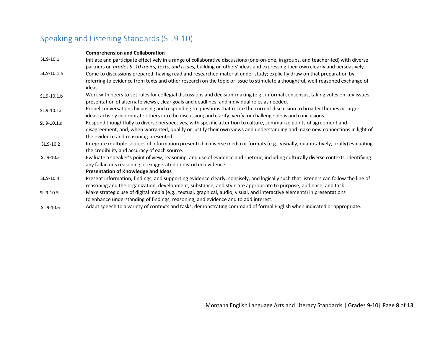# <span id="page-7-0"></span>Speaking and Listening Standards (SL.9-10)

## **Comprehension and Collaboration**

| SL.9-10.1   | Initiate and participate effectively in a range of collaborative discussions (one-on-one, in groups, and teacher-led) with diverse<br>partners on grades 9-10 topics, texts, and issues, building on others' ideas and expressing their own clearly and persuasively.                        |
|-------------|----------------------------------------------------------------------------------------------------------------------------------------------------------------------------------------------------------------------------------------------------------------------------------------------|
| SL.9-10.1.a | Come to discussions prepared, having read and researched material under study; explicitly draw on that preparation by                                                                                                                                                                        |
|             | referring to evidence from texts and other research on the topic or issue to stimulate a thoughtful, well-reasoned exchange of<br>ideas.                                                                                                                                                     |
| SL.9-10.1.b | Work with peers to set rules for collegial discussions and decision-making (e.g., informal consensus, taking votes on key issues,<br>presentation of alternate views), clear goals and deadlines, and individual roles as needed.                                                            |
| SL.9-10.1.c | Propel conversations by posing and responding to questions that relate the current discussion to broader themes or larger<br>ideas; actively incorporate others into the discussion; and clarify, verify, or challenge ideas and conclusions.                                                |
| SL.9-10.1.d | Respond thoughtfully to diverse perspectives, with specific attention to culture, summarize points of agreement and<br>disagreement, and, when warranted, qualify or justify their own views and understanding and make new connections in light of<br>the evidence and reasoning presented. |
| SL.9-10.2   | Integrate multiple sources of information presented in diverse media or formats (e.g., visually, quantitatively, orally) evaluating<br>the credibility and accuracy of each source.                                                                                                          |
| SL.9-10.3   | Evaluate a speaker's point of view, reasoning, and use of evidence and rhetoric, including culturally diverse contexts, identifying<br>any fallacious reasoning or exaggerated or distorted evidence.                                                                                        |
|             | <b>Presentation of Knowledge and Ideas</b>                                                                                                                                                                                                                                                   |
| SL.9-10.4   | Present information, findings, and supporting evidence clearly, concisely, and logically such that listeners can follow the line of<br>reasoning and the organization, development, substance, and style are appropriate to purpose, audience, and task.                                     |
| SL.9-10.5   | Make strategic use of digital media (e.g., textual, graphical, audio, visual, and interactive elements) in presentations<br>to enhance understanding of findings, reasoning, and evidence and to add interest.                                                                               |
| SL.9-10.6   | Adapt speech to a variety of contexts and tasks, demonstrating command of formal English when indicated or appropriate.                                                                                                                                                                      |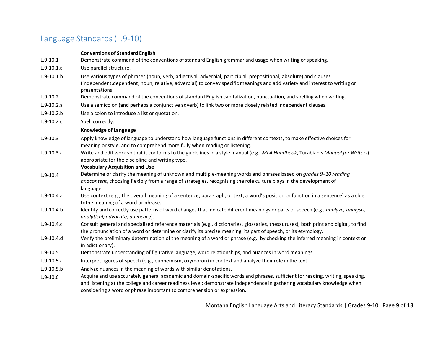## <span id="page-8-0"></span>Language Standards (L.9-10)

#### **Conventions of Standard English**

- L.9-10.1 Demonstrate command of the conventions of standard English grammar and usage when writing or speaking.
- L.9-10.1.a Use parallel structure.
- L.9-10.1.b Use various types of phrases (noun, verb, adjectival, adverbial, participial, prepositional, absolute) and clauses (independent,dependent; noun, relative, adverbial) to convey specific meanings and add variety and interest to writing or presentations.
- L.9-10.2 Demonstrate command of the conventions of standard English capitalization, punctuation, and spelling when writing.
- L.9-10.2.a Use a semicolon (and perhaps a conjunctive adverb) to link two or more closely related independent clauses.
- L.9-10.2.b Use a colon to introduce a list or quotation.
- L.9-10.2.c Spell correctly.

#### **Knowledge of Language**

- L.9-10.3 Apply knowledge of language to understand how language functions in different contexts, to make effective choices for meaning or style, and to comprehend more fully when reading or listening.
- L.9-10.3.a Write and edit work so that it conforms to the guidelines in a style manual (e.g., *MLA Handbook*, Turabian's *Manual for Writers*) appropriate for the discipline and writing type.

#### **Vocabulary Acquisition and Use**

- L.9-10.4 Determine or clarify the meaning of unknown and multiple-meaning words and phrases based on *grades 9–10 reading andcontent*, choosing flexibly from a range of strategies, recognizing the role culture plays in the development of language.
- L.9-10.4.a Use context (e.g., the overall meaning of a sentence, paragraph, or text; a word's position or function in a sentence) as a clue tothe meaning of a word or phrase.
- L.9-10.4.b Identify and correctly use patterns of word changes that indicate different meanings or parts of speech (e.g., *analyze, analysis, analytical; advocate, advocacy*).
- L.9-10.4.c Consult general and specialized reference materials (e.g., dictionaries, glossaries, thesauruses), both print and digital, to find the pronunciation of a word or determine or clarify its precise meaning, its part of speech, or its etymology.
- L.9-10.4.d Verify the preliminary determination of the meaning of a word or phrase (e.g., by checking the inferred meaning in context or in adictionary).
- L.9-10.5 Demonstrate understanding of figurative language, word relationships, and nuances in word meanings.
- L.9-10.5.a Interpret figures of speech (e.g., euphemism, oxymoron) in context and analyze their role in the text.
- L.9-10.5.b Analyze nuances in the meaning of words with similar denotations.
- L.9-10.6 Acquire and use accurately general academic and domain-specific words and phrases, sufficient for reading, writing, speaking, and listening at the college and career readiness level; demonstrate independence in gathering vocabulary knowledge when considering a word or phrase important to comprehension or expression.

Montana English Language Arts and Literacy Standards | Grades 9-10| Page **9** of **13**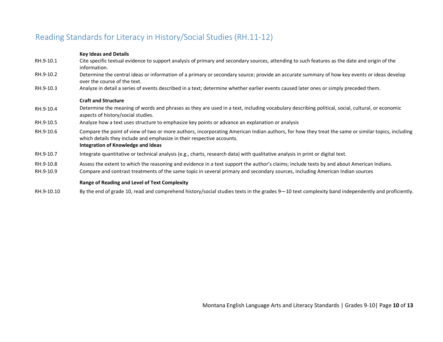## <span id="page-9-0"></span>Reading Standards for Literacy in History/Social Studies (RH.11-12)

## **Key Ideas and Details**

| RH.9-10.1 | Cite specific textual evidence to support analysis of primary and secondary sources, attending to such features as the date and origin of the                                                                                                                     |
|-----------|-------------------------------------------------------------------------------------------------------------------------------------------------------------------------------------------------------------------------------------------------------------------|
| RH.9-10.2 | information.<br>Determine the central ideas or information of a primary or secondary source; provide an accurate summary of how key events or ideas develop<br>over the course of the text.                                                                       |
| RH.9-10.3 | Analyze in detail a series of events described in a text; determine whether earlier events caused later ones or simply preceded them.                                                                                                                             |
|           | <b>Craft and Structure</b>                                                                                                                                                                                                                                        |
| RH.9-10.4 | Determine the meaning of words and phrases as they are used in a text, including vocabulary describing political, social, cultural, or economic<br>aspects of history/social studies.                                                                             |
| RH.9-10.5 | Analyze how a text uses structure to emphasize key points or advance an explanation or analysis                                                                                                                                                                   |
| RH.9-10.6 | Compare the point of view of two or more authors, incorporating American Indian authors, for how they treat the same or similar topics, including<br>which details they include and emphasize in their respective accounts.<br>Integration of Knowledge and Ideas |
| RH.9-10.7 | Integrate quantitative or technical analysis (e.g., charts, research data) with qualitative analysis in print or digital text.                                                                                                                                    |
| RH.9-10.8 | Assess the extent to which the reasoning and evidence in a text support the author's claims; include texts by and about American Indians.                                                                                                                         |
| RH.9-10.9 | Compare and contrast treatments of the same topic in several primary and secondary sources, including American Indian sources                                                                                                                                     |
|           | <b>Range of Reading and Level of Text Complexity</b>                                                                                                                                                                                                              |

RH.9-10.10 By the end of grade 10, read and comprehend history/social studies texts in the grades 9—10 text complexity band independently and proficiently.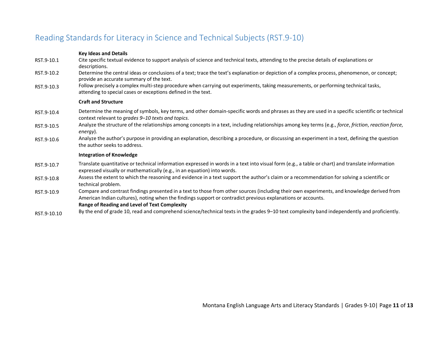# <span id="page-10-0"></span>Reading Standards for Literacy in Science and Technical Subjects (RST.9-10)

## **Key Ideas and Details**

| RST.9-10.1  | Cite specific textual evidence to support analysis of science and technical texts, attending to the precise details of explanations or<br>descriptions.                                                                                                    |
|-------------|------------------------------------------------------------------------------------------------------------------------------------------------------------------------------------------------------------------------------------------------------------|
| RST.9-10.2  | Determine the central ideas or conclusions of a text; trace the text's explanation or depiction of a complex process, phenomenon, or concept;<br>provide an accurate summary of the text.                                                                  |
| RST.9-10.3  | Follow precisely a complex multi-step procedure when carrying out experiments, taking measurements, or performing technical tasks,<br>attending to special cases or exceptions defined in the text.                                                        |
|             | <b>Craft and Structure</b>                                                                                                                                                                                                                                 |
| RST.9-10.4  | Determine the meaning of symbols, key terms, and other domain-specific words and phrases as they are used in a specific scientific or technical<br>context relevant to grades 9-10 texts and topics.                                                       |
| RST.9-10.5  | Analyze the structure of the relationships among concepts in a text, including relationships among key terms (e.g., force, friction, reaction force,<br>energy).                                                                                           |
| RST.9-10.6  | Analyze the author's purpose in providing an explanation, describing a procedure, or discussing an experiment in a text, defining the question<br>the author seeks to address.                                                                             |
|             | <b>Integration of Knowledge</b>                                                                                                                                                                                                                            |
| RST.9-10.7  | Translate quantitative or technical information expressed in words in a text into visual form (e.g., a table or chart) and translate information<br>expressed visually or mathematically (e.g., in an equation) into words.                                |
| RST.9-10.8  | Assess the extent to which the reasoning and evidence in a text support the author's claim or a recommendation for solving a scientific or<br>technical problem.                                                                                           |
| RST.9-10.9  | Compare and contrast findings presented in a text to those from other sources (including their own experiments, and knowledge derived from<br>American Indian cultures), noting when the findings support or contradict previous explanations or accounts. |
|             | <b>Range of Reading and Level of Text Complexity</b>                                                                                                                                                                                                       |
| RST.9-10.10 | By the end of grade 10, read and comprehend science/technical texts in the grades 9-10 text complexity band independently and proficiently.                                                                                                                |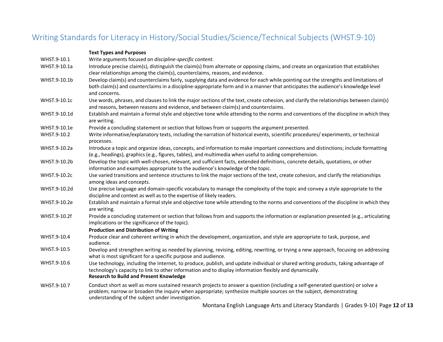## <span id="page-11-0"></span>Writing Standards for Literacy in History/Social Studies/Science/Technical Subjects (WHST.9-10)

| <b>Text Types and Purposes</b>                                                                                                                                                                                                                                                                                                                                                                                                |
|-------------------------------------------------------------------------------------------------------------------------------------------------------------------------------------------------------------------------------------------------------------------------------------------------------------------------------------------------------------------------------------------------------------------------------|
| Write arguments focused on discipline-specific content.                                                                                                                                                                                                                                                                                                                                                                       |
| Introduce precise claim(s), distinguish the claim(s) from alternate or opposing claims, and create an organization that establishes<br>clear relationships among the claim(s), counterclaims, reasons, and evidence.                                                                                                                                                                                                          |
| Develop claim(s) and counterclaims fairly, supplying data and evidence for each while pointing out the strengths and limitations of<br>both claim(s) and counterclaims in a discipline-appropriate form and in a manner that anticipates the audience's knowledge level<br>and concerns.                                                                                                                                      |
| Use words, phrases, and clauses to link the major sections of the text, create cohesion, and clarify the relationships between claim(s)<br>and reasons, between reasons and evidence, and between claim(s) and counterclaims.                                                                                                                                                                                                 |
| Establish and maintain a formal style and objective tone while attending to the norms and conventions of the discipline in which they<br>are writing.                                                                                                                                                                                                                                                                         |
| Provide a concluding statement or section that follows from or supports the argument presented.                                                                                                                                                                                                                                                                                                                               |
| Write informative/explanatory texts, including the narration of historical events, scientific procedures/experiments, or technical<br>processes.                                                                                                                                                                                                                                                                              |
| Introduce a topic and organize ideas, concepts, and information to make important connections and distinctions; include formatting<br>(e.g., headings), graphics (e.g., figures, tables), and multimedia when useful to aiding comprehension.                                                                                                                                                                                 |
| Develop the topic with well-chosen, relevant, and sufficient facts, extended definitions, concrete details, quotations, or other<br>information and examples appropriate to the audience's knowledge of the topic.                                                                                                                                                                                                            |
| Use varied transitions and sentence structures to link the major sections of the text, create cohesion, and clarify the relationships<br>among ideas and concepts.                                                                                                                                                                                                                                                            |
| Use precise language and domain-specific vocabulary to manage the complexity of the topic and convey a style appropriate to the<br>discipline and context as well as to the expertise of likely readers.                                                                                                                                                                                                                      |
| Establish and maintain a formal style and objective tone while attending to the norms and conventions of the discipline in which they<br>are writing.                                                                                                                                                                                                                                                                         |
| Provide a concluding statement or section that follows from and supports the information or explanation presented (e.g., articulating<br>implications or the significance of the topic).<br><b>Production and Distribution of Writing</b>                                                                                                                                                                                     |
| Produce clear and coherent writing in which the development, organization, and style are appropriate to task, purpose, and<br>audience.                                                                                                                                                                                                                                                                                       |
| Develop and strengthen writing as needed by planning, revising, editing, rewriting, or trying a new approach, focusing on addressing<br>what is most significant for a specific purpose and audience.                                                                                                                                                                                                                         |
| Use technology, including the Internet, to produce, publish, and update individual or shared writing products, taking advantage of<br>technology's capacity to link to other information and to display information flexibly and dynamically.<br><b>Research to Build and Present Knowledge</b>                                                                                                                               |
| Conduct short as well as more sustained research projects to answer a question (including a self-generated question) or solve a<br>problem; narrow or broaden the inquiry when appropriate; synthesize multiple sources on the subject, demonstrating<br>understanding of the subject under investigation.<br>the contract of the contract of the contract of the contract of the contract of the contract of the contract of |
|                                                                                                                                                                                                                                                                                                                                                                                                                               |

Montana English Language Arts and Literacy Standards | Grades 9-10| Page **12** of **13**